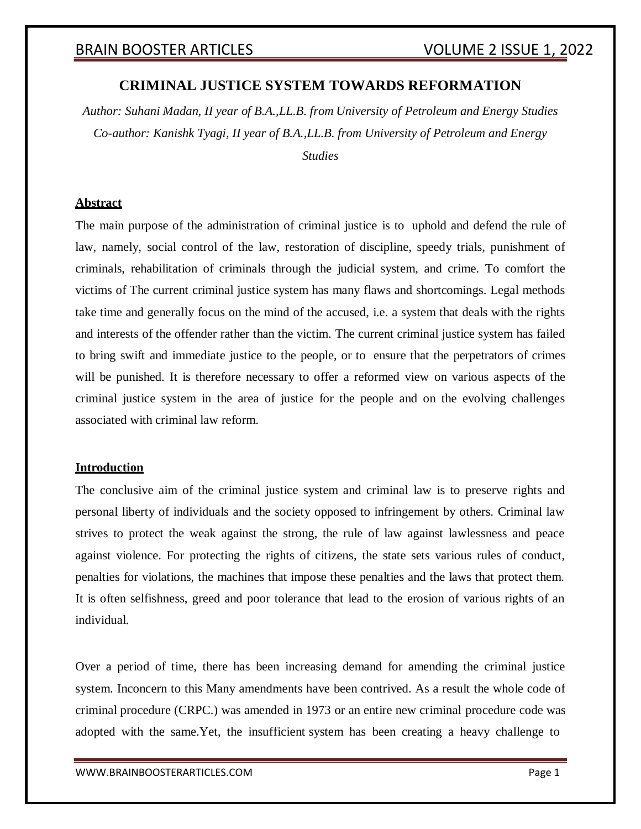### **CRIMINAL JUSTICE SYSTEM TOWARDS REFORMATION**

*Author: Suhani Madan, II year of B.A.,LL.B. from University of Petroleum and Energy Studies Co-author: Kanishk Tyagi, II year of B.A.,LL.B. from University of Petroleum and Energy Studies*

### **Abstract**

The main purpose of the administration of criminal justice is to uphold and defend the rule of law, namely, social control of the law, restoration of discipline, speedy trials, punishment of criminals, rehabilitation of criminals through the judicial system, and crime. To comfort the victims of The current criminal justice system has many flaws and shortcomings. Legal methods take time and generally focus on the mind of the accused, i.e. a system that deals with the rights and interests of the offender rather than the victim. The current criminal justice system has failed to bring swift and immediate justice to the people, or to ensure that the perpetrators of crimes will be punished. It is therefore necessary to offer a reformed view on various aspects of the criminal justice system in the area of justice for the people and on the evolving challenges associated with criminal law reform.

### **Introduction**

The conclusive aim of the criminal justice system and criminal law is to preserve rights and personal liberty of individuals and the society opposed to infringement by others. Criminal law strives to protect the weak against the strong, the rule of law against lawlessness and peace against violence. For protecting the rights of citizens, the state sets various rules of conduct, penalties for violations, the machines that impose these penalties and the laws that protect them. It is often selfishness, greed and poor tolerance that lead to the erosion of various rights of an individual.

Over a period of time, there has been increasing demand for amending the criminal justice system. Inconcern to this Many amendments have been contrived. As a result the whole code of criminal procedure (CRPC.) was amended in 1973 or an entire new criminal procedure code was adopted with the same.Yet, the insufficient system has been creating a heavy challenge to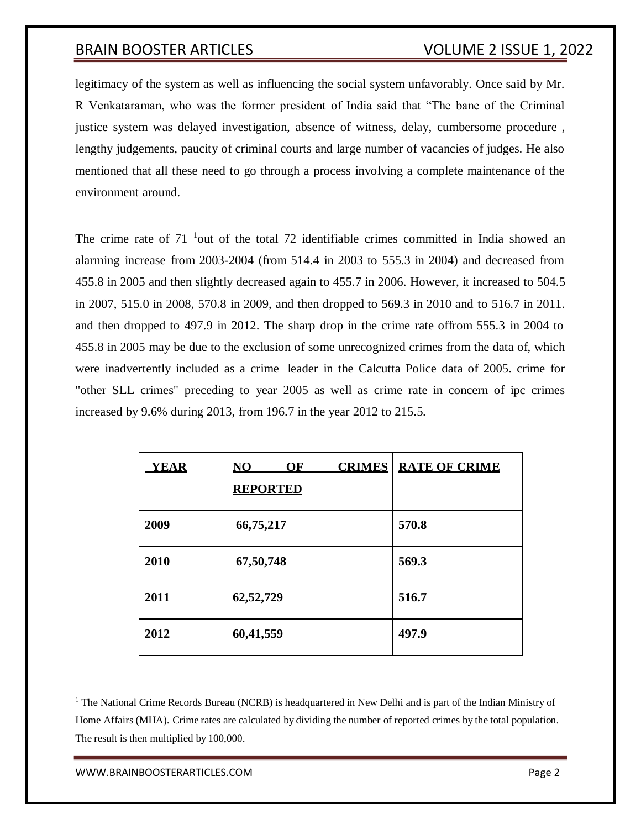legitimacy of the system as well as influencing the social system unfavorably. Once said by Mr. R Venkataraman, who was the former president of India said that "The bane of the Criminal justice system was delayed investigation, absence of witness, delay, cumbersome procedure , lengthy judgements, paucity of criminal courts and large number of vacancies of judges. He also mentioned that all these need to go through a process involving a complete maintenance of the environment around.

The crime rate of  $71<sup>-1</sup>$ out of the total 72 identifiable crimes committed in India showed an alarming increase from 2003-2004 (from 514.4 in 2003 to 555.3 in 2004) and decreased from 455.8 in 2005 and then slightly decreased again to 455.7 in 2006. However, it increased to 504.5 in 2007, 515.0 in 2008, 570.8 in 2009, and then dropped to 569.3 in 2010 and to 516.7 in 2011. and then dropped to 497.9 in 2012. The sharp drop in the crime rate offrom 555.3 in 2004 to 455.8 in 2005 may be due to the exclusion of some unrecognized crimes from the data of, which were inadvertently included as a crime leader in the Calcutta Police data of 2005. crime for "other SLL crimes" preceding to year 2005 as well as crime rate in concern of ipc crimes increased by 9.6% during 2013, from 196.7 in the year 2012 to 215.5.

| <b>YEAR</b> | <b>CRIMES</b><br>$\overline{\textbf{N}}\textbf{O}$<br>OF<br><b>REPORTED</b> | <b>RATE OF CRIME</b> |
|-------------|-----------------------------------------------------------------------------|----------------------|
| 2009        | 66,75,217                                                                   | 570.8                |
| 2010        | 67,50,748                                                                   | 569.3                |
| 2011        | 62,52,729                                                                   | 516.7                |
| 2012        | 60,41,559                                                                   | 497.9                |

<sup>&</sup>lt;sup>1</sup> The National Crime Records Bureau (NCRB) is headquartered in New Delhi and is part of the Indian Ministry of Home Affairs (MHA). Crime rates are calculated by dividing the number of reported crimes by the total population. The result is then multiplied by 100,000.

[WWW.BRAINBOOSTERARTICLES.COM](http://www.brainboosterarticles.com/) **Page 2**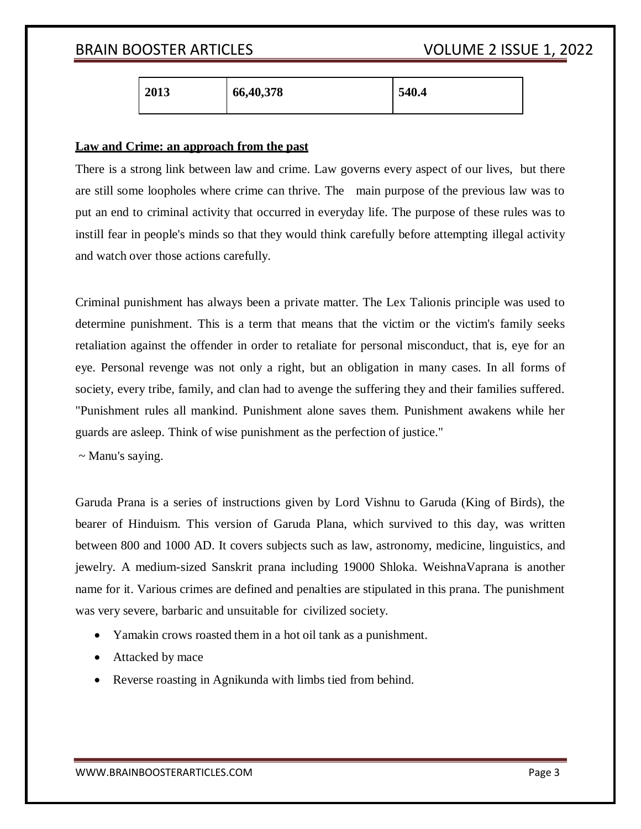| 2013<br>66,40,378 | 540.4 |
|-------------------|-------|
|-------------------|-------|

### **Law and Crime: an approach from the past**

There is a strong link between law and crime. Law governs every aspect of our lives, but there are still some loopholes where crime can thrive. The main purpose of the previous law was to put an end to criminal activity that occurred in everyday life. The purpose of these rules was to instill fear in people's minds so that they would think carefully before attempting illegal activity and watch over those actions carefully.

Criminal punishment has always been a private matter. The Lex Talionis principle was used to determine punishment. This is a term that means that the victim or the victim's family seeks retaliation against the offender in order to retaliate for personal misconduct, that is, eye for an eye. Personal revenge was not only a right, but an obligation in many cases. In all forms of society, every tribe, family, and clan had to avenge the suffering they and their families suffered. "Punishment rules all mankind. Punishment alone saves them. Punishment awakens while her guards are asleep. Think of wise punishment as the perfection of justice."

~ Manu's saying.

Garuda Prana is a series of instructions given by Lord Vishnu to Garuda (King of Birds), the bearer of Hinduism. This version of Garuda Plana, which survived to this day, was written between 800 and 1000 AD. It covers subjects such as law, astronomy, medicine, linguistics, and jewelry. A medium-sized Sanskrit prana including 19000 Shloka. WeishnaVaprana is another name for it. Various crimes are defined and penalties are stipulated in this prana. The punishment was very severe, barbaric and unsuitable for civilized society.

- Yamakin crows roasted them in a hot oil tank as a punishment.
- Attacked by mace
- Reverse roasting in Agnikunda with limbs tied from behind.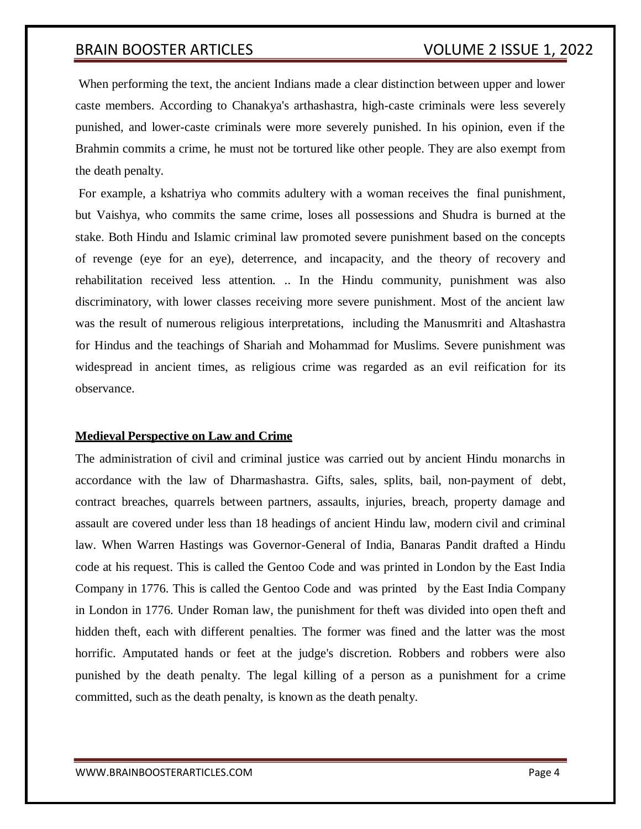When performing the text, the ancient Indians made a clear distinction between upper and lower caste members. According to Chanakya's arthashastra, high-caste criminals were less severely punished, and lower-caste criminals were more severely punished. In his opinion, even if the Brahmin commits a crime, he must not be tortured like other people. They are also exempt from the death penalty.

For example, a kshatriya who commits adultery with a woman receives the final punishment, but Vaishya, who commits the same crime, loses all possessions and Shudra is burned at the stake. Both Hindu and Islamic criminal law promoted severe punishment based on the concepts of revenge (eye for an eye), deterrence, and incapacity, and the theory of recovery and rehabilitation received less attention. .. In the Hindu community, punishment was also discriminatory, with lower classes receiving more severe punishment. Most of the ancient law was the result of numerous religious interpretations, including the Manusmriti and Altashastra for Hindus and the teachings of Shariah and Mohammad for Muslims. Severe punishment was widespread in ancient times, as religious crime was regarded as an evil reification for its observance.

### **Medieval Perspective on Law and Crime**

The administration of civil and criminal justice was carried out by ancient Hindu monarchs in accordance with the law of Dharmashastra. Gifts, sales, splits, bail, non-payment of debt, contract breaches, quarrels between partners, assaults, injuries, breach, property damage and assault are covered under less than 18 headings of ancient Hindu law, modern civil and criminal law. When Warren Hastings was Governor-General of India, Banaras Pandit drafted a Hindu code at his request. This is called the Gentoo Code and was printed in London by the East India Company in 1776. This is called the Gentoo Code and was printed by the East India Company in London in 1776. Under Roman law, the punishment for theft was divided into open theft and hidden theft, each with different penalties. The former was fined and the latter was the most horrific. Amputated hands or feet at the judge's discretion. Robbers and robbers were also punished by the death penalty. The legal killing of a person as a punishment for a crime committed, such as the death penalty, is known as the death penalty.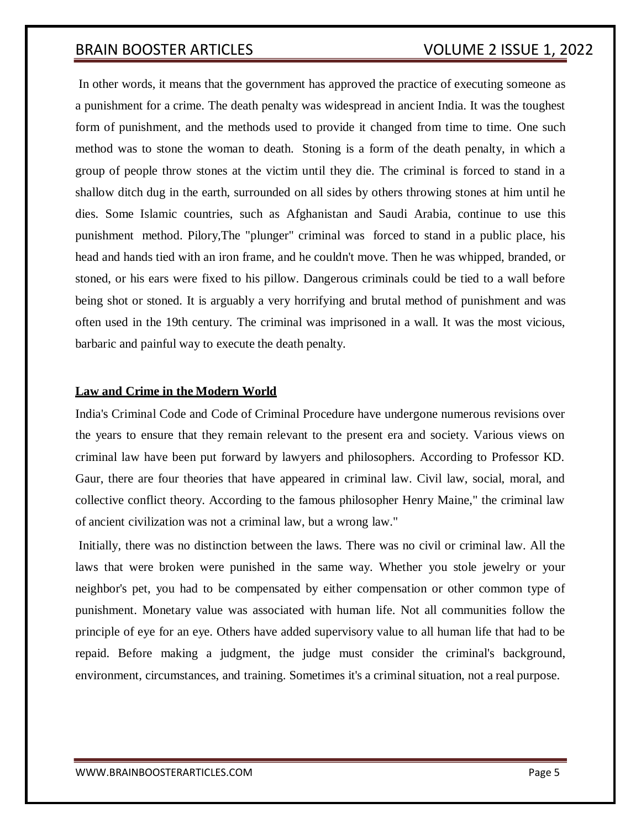In other words, it means that the government has approved the practice of executing someone as a punishment for a crime. The death penalty was widespread in ancient India. It was the toughest form of punishment, and the methods used to provide it changed from time to time. One such method was to stone the woman to death. Stoning is a form of the death penalty, in which a group of people throw stones at the victim until they die. The criminal is forced to stand in a shallow ditch dug in the earth, surrounded on all sides by others throwing stones at him until he dies. Some Islamic countries, such as Afghanistan and Saudi Arabia, continue to use this punishment method. Pilory,The "plunger" criminal was forced to stand in a public place, his head and hands tied with an iron frame, and he couldn't move. Then he was whipped, branded, or stoned, or his ears were fixed to his pillow. Dangerous criminals could be tied to a wall before being shot or stoned. It is arguably a very horrifying and brutal method of punishment and was often used in the 19th century. The criminal was imprisoned in a wall. It was the most vicious, barbaric and painful way to execute the death penalty.

### **Law and Crime in the Modern World**

India's Criminal Code and Code of Criminal Procedure have undergone numerous revisions over the years to ensure that they remain relevant to the present era and society. Various views on criminal law have been put forward by lawyers and philosophers. According to Professor KD. Gaur, there are four theories that have appeared in criminal law. Civil law, social, moral, and collective conflict theory. According to the famous philosopher Henry Maine," the criminal law of ancient civilization was not a criminal law, but a wrong law."

Initially, there was no distinction between the laws. There was no civil or criminal law. All the laws that were broken were punished in the same way. Whether you stole jewelry or your neighbor's pet, you had to be compensated by either compensation or other common type of punishment. Monetary value was associated with human life. Not all communities follow the principle of eye for an eye. Others have added supervisory value to all human life that had to be repaid. Before making a judgment, the judge must consider the criminal's background, environment, circumstances, and training. Sometimes it's a criminal situation, not a real purpose.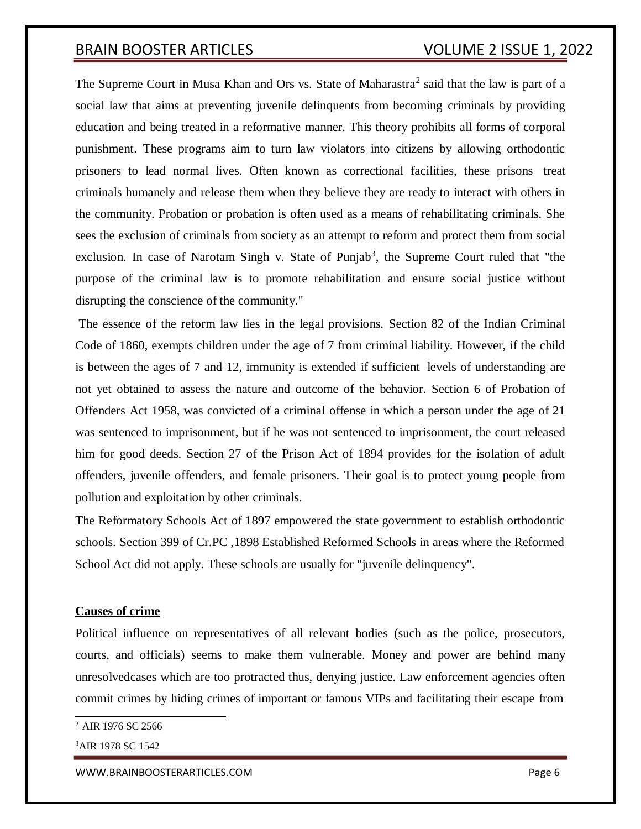The Supreme Court in Musa Khan and Ors vs. State of Maharastra<sup>2</sup> said that the law is part of a social law that aims at preventing juvenile delinquents from becoming criminals by providing education and being treated in a reformative manner. This theory prohibits all forms of corporal punishment. These programs aim to turn law violators into citizens by allowing orthodontic prisoners to lead normal lives. Often known as correctional facilities, these prisons treat criminals humanely and release them when they believe they are ready to interact with others in the community. Probation or probation is often used as a means of rehabilitating criminals. She sees the exclusion of criminals from society as an attempt to reform and protect them from social exclusion. In case of Narotam Singh v. State of Punjab<sup>3</sup>, the Supreme Court ruled that "the purpose of the criminal law is to promote rehabilitation and ensure social justice without disrupting the conscience of the community."

The essence of the reform law lies in the legal provisions. Section 82 of the Indian Criminal Code of 1860, exempts children under the age of 7 from criminal liability. However, if the child is between the ages of 7 and 12, immunity is extended if sufficient levels of understanding are not yet obtained to assess the nature and outcome of the behavior. Section 6 of Probation of Offenders Act 1958, was convicted of a criminal offense in which a person under the age of 21 was sentenced to imprisonment, but if he was not sentenced to imprisonment, the court released him for good deeds. Section 27 of the Prison Act of 1894 provides for the isolation of adult offenders, juvenile offenders, and female prisoners. Their goal is to protect young people from pollution and exploitation by other criminals.

The Reformatory Schools Act of 1897 empowered the state government to establish orthodontic schools. Section 399 of Cr.PC ,1898 Established Reformed Schools in areas where the Reformed School Act did not apply. These schools are usually for "juvenile delinquency".

### **Causes of crime**

Political influence on representatives of all relevant bodies (such as the police, prosecutors, courts, and officials) seems to make them vulnerable. Money and power are behind many unresolvedcases which are too protracted thus, denying justice. Law enforcement agencies often commit crimes by hiding crimes of important or famous VIPs and facilitating their escape from

[WWW.BRAINBOOSTERARTICLES.COM](http://www.brainboosterarticles.com/) **Page 6** 

<sup>&</sup>lt;sup>2</sup> AIR 1976 SC 2566

<sup>&</sup>lt;sup>3</sup>AIR 1978 SC 1542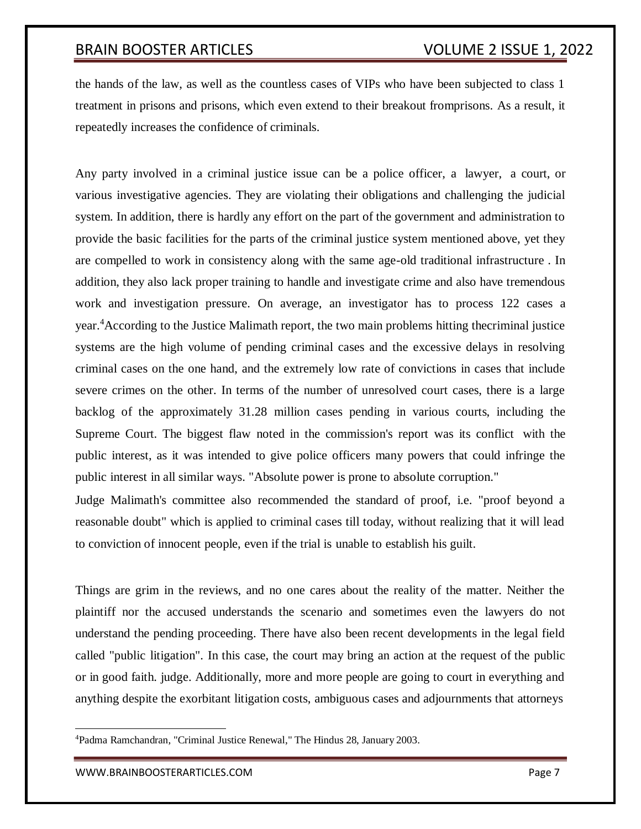the hands of the law, as well as the countless cases of VIPs who have been subjected to class 1 treatment in prisons and prisons, which even extend to their breakout fromprisons. As a result, it repeatedly increases the confidence of criminals.

Any party involved in a criminal justice issue can be a police officer, a lawyer, a court, or various investigative agencies. They are violating their obligations and challenging the judicial system. In addition, there is hardly any effort on the part of the government and administration to provide the basic facilities for the parts of the criminal justice system mentioned above, yet they are compelled to work in consistency along with the same age-old traditional infrastructure . In addition, they also lack proper training to handle and investigate crime and also have tremendous work and investigation pressure. On average, an investigator has to process 122 cases a year.<sup>4</sup>According to the Justice Malimath report, the two main problems hitting thecriminal justice systems are the high volume of pending criminal cases and the excessive delays in resolving criminal cases on the one hand, and the extremely low rate of convictions in cases that include severe crimes on the other. In terms of the number of unresolved court cases, there is a large backlog of the approximately 31.28 million cases pending in various courts, including the Supreme Court. The biggest flaw noted in the commission's report was its conflict with the public interest, as it was intended to give police officers many powers that could infringe the public interest in all similar ways. "Absolute power is prone to absolute corruption."

Judge Malimath's committee also recommended the standard of proof, i.e. "proof beyond a reasonable doubt" which is applied to criminal cases till today, without realizing that it will lead to conviction of innocent people, even if the trial is unable to establish his guilt.

Things are grim in the reviews, and no one cares about the reality of the matter. Neither the plaintiff nor the accused understands the scenario and sometimes even the lawyers do not understand the pending proceeding. There have also been recent developments in the legal field called "public litigation". In this case, the court may bring an action at the request of the public or in good faith. judge. Additionally, more and more people are going to court in everything and anything despite the exorbitant litigation costs, ambiguous cases and adjournments that attorneys

<sup>4</sup>Padma Ramchandran, "Criminal Justice Renewal," The Hindus 28, January 2003.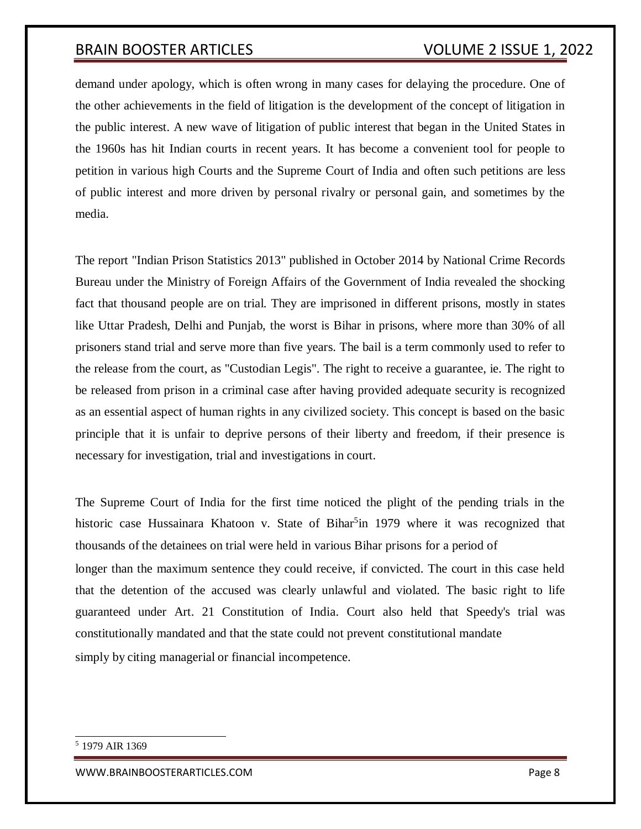demand under apology, which is often wrong in many cases for delaying the procedure. One of the other achievements in the field of litigation is the development of the concept of litigation in the public interest. A new wave of litigation of public interest that began in the United States in the 1960s has hit Indian courts in recent years. It has become a convenient tool for people to petition in various high Courts and the Supreme Court of India and often such petitions are less of public interest and more driven by personal rivalry or personal gain, and sometimes by the media.

The report "Indian Prison Statistics 2013" published in October 2014 by National Crime Records Bureau under the Ministry of Foreign Affairs of the Government of India revealed the shocking fact that thousand people are on trial. They are imprisoned in different prisons, mostly in states like Uttar Pradesh, Delhi and Punjab, the worst is Bihar in prisons, where more than 30% of all prisoners stand trial and serve more than five years. The bail is a term commonly used to refer to the release from the court, as "Custodian Legis". The right to receive a guarantee, ie. The right to be released from prison in a criminal case after having provided adequate security is recognized as an essential aspect of human rights in any civilized society. This concept is based on the basic principle that it is unfair to deprive persons of their liberty and freedom, if their presence is necessary for investigation, trial and investigations in court.

The Supreme Court of India for the first time noticed the plight of the pending trials in the historic case Hussainara Khatoon v. State of Bihar<sup>5</sup>in 1979 where it was recognized that thousands of the detainees on trial were held in various Bihar prisons for a period of longer than the maximum sentence they could receive, if convicted. The court in this case held that the detention of the accused was clearly unlawful and violated. The basic right to life guaranteed under Art. 21 Constitution of India. Court also held that Speedy's trial was constitutionally mandated and that the state could not prevent constitutional mandate simply by citing managerial or financial incompetence.

[WWW.BRAINBOOSTERARTICLES.COM](http://www.brainboosterarticles.com/) **Example 2018** 2022 12:00 Page 8

<sup>5</sup> 1979 AIR 1369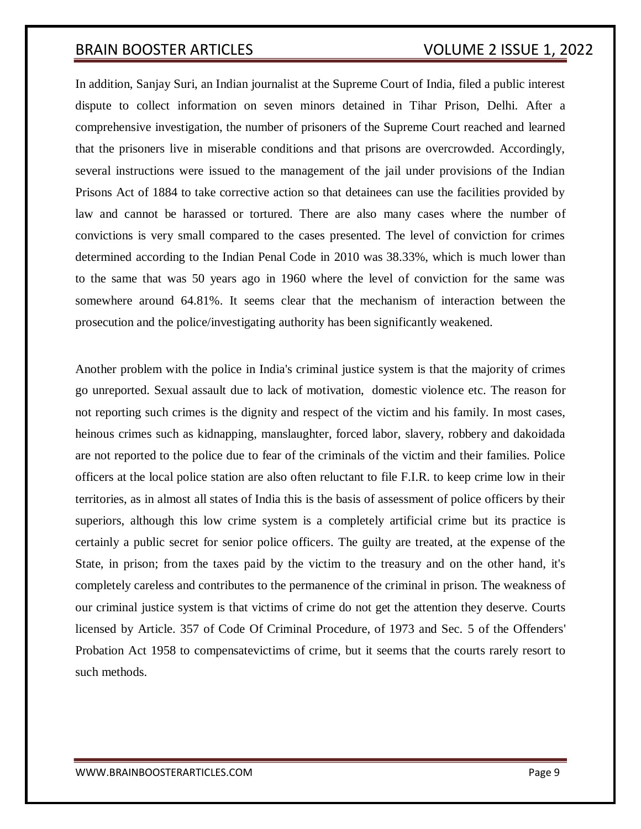In addition, Sanjay Suri, an Indian journalist at the Supreme Court of India, filed a public interest dispute to collect information on seven minors detained in Tihar Prison, Delhi. After a comprehensive investigation, the number of prisoners of the Supreme Court reached and learned that the prisoners live in miserable conditions and that prisons are overcrowded. Accordingly, several instructions were issued to the management of the jail under provisions of the Indian Prisons Act of 1884 to take corrective action so that detainees can use the facilities provided by law and cannot be harassed or tortured. There are also many cases where the number of convictions is very small compared to the cases presented. The level of conviction for crimes determined according to the Indian Penal Code in 2010 was 38.33%, which is much lower than to the same that was 50 years ago in 1960 where the level of conviction for the same was somewhere around 64.81%. It seems clear that the mechanism of interaction between the prosecution and the police/investigating authority has been significantly weakened.

Another problem with the police in India's criminal justice system is that the majority of crimes go unreported. Sexual assault due to lack of motivation, domestic violence etc. The reason for not reporting such crimes is the dignity and respect of the victim and his family. In most cases, heinous crimes such as kidnapping, manslaughter, forced labor, slavery, robbery and dakoidada are not reported to the police due to fear of the criminals of the victim and their families. Police officers at the local police station are also often reluctant to file F.I.R. to keep crime low in their territories, as in almost all states of India this is the basis of assessment of police officers by their superiors, although this low crime system is a completely artificial crime but its practice is certainly a public secret for senior police officers. The guilty are treated, at the expense of the State, in prison; from the taxes paid by the victim to the treasury and on the other hand, it's completely careless and contributes to the permanence of the criminal in prison. The weakness of our criminal justice system is that victims of crime do not get the attention they deserve. Courts licensed by Article. 357 of Code Of Criminal Procedure, of 1973 and Sec. 5 of the Offenders' Probation Act 1958 to compensatevictims of crime, but it seems that the courts rarely resort to such methods.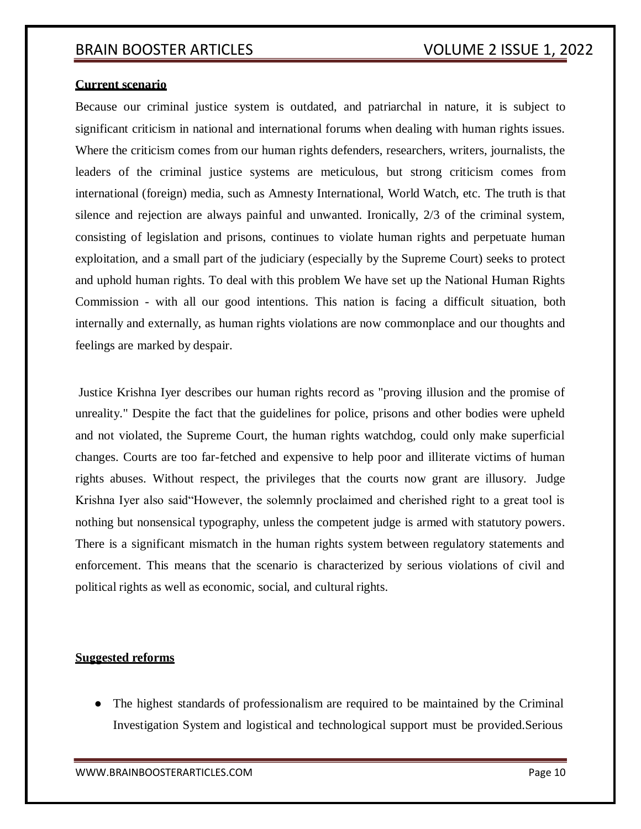### **Current scenario**

Because our criminal justice system is outdated, and patriarchal in nature, it is subject to significant criticism in national and international forums when dealing with human rights issues. Where the criticism comes from our human rights defenders, researchers, writers, journalists, the leaders of the criminal justice systems are meticulous, but strong criticism comes from international (foreign) media, such as Amnesty International, World Watch, etc. The truth is that silence and rejection are always painful and unwanted. Ironically, 2/3 of the criminal system, consisting of legislation and prisons, continues to violate human rights and perpetuate human exploitation, and a small part of the judiciary (especially by the Supreme Court) seeks to protect and uphold human rights. To deal with this problem We have set up the National Human Rights Commission - with all our good intentions. This nation is facing a difficult situation, both internally and externally, as human rights violations are now commonplace and our thoughts and feelings are marked by despair.

Justice Krishna Iyer describes our human rights record as "proving illusion and the promise of unreality." Despite the fact that the guidelines for police, prisons and other bodies were upheld and not violated, the Supreme Court, the human rights watchdog, could only make superficial changes. Courts are too far-fetched and expensive to help poor and illiterate victims of human rights abuses. Without respect, the privileges that the courts now grant are illusory. Judge Krishna Iyer also said"However, the solemnly proclaimed and cherished right to a great tool is nothing but nonsensical typography, unless the competent judge is armed with statutory powers. There is a significant mismatch in the human rights system between regulatory statements and enforcement. This means that the scenario is characterized by serious violations of civil and political rights as well as economic, social, and cultural rights.

### **Suggested reforms**

• The highest standards of professionalism are required to be maintained by the Criminal Investigation System and logistical and technological support must be provided.Serious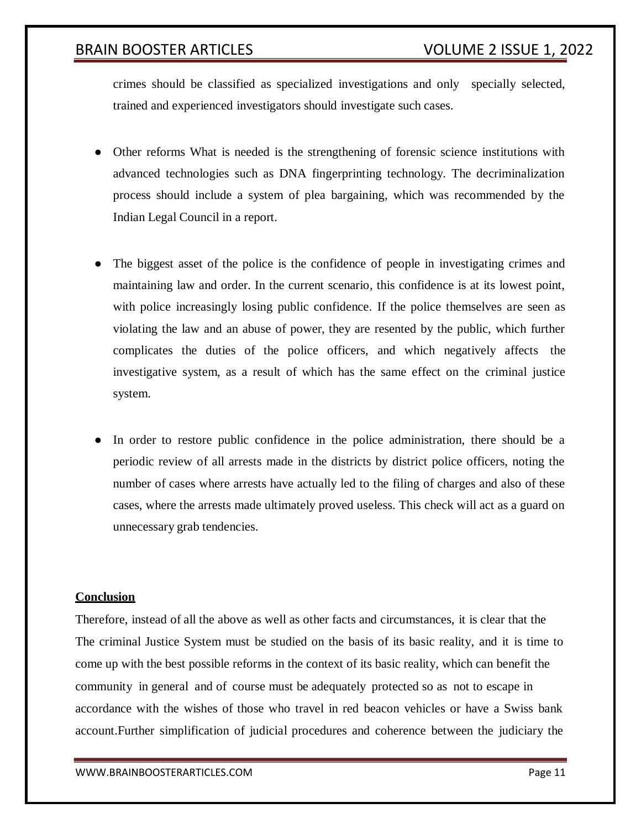crimes should be classified as specialized investigations and only specially selected, trained and experienced investigators should investigate such cases.

- Other reforms What is needed is the strengthening of forensic science institutions with advanced technologies such as DNA fingerprinting technology. The decriminalization process should include a system of plea bargaining, which was recommended by the Indian Legal Council in a report.
- The biggest asset of the police is the confidence of people in investigating crimes and maintaining law and order. In the current scenario, this confidence is at its lowest point, with police increasingly losing public confidence. If the police themselves are seen as violating the law and an abuse of power, they are resented by the public, which further complicates the duties of the police officers, and which negatively affects the investigative system, as a result of which has the same effect on the criminal justice system.
- In order to restore public confidence in the police administration, there should be a periodic review of all arrests made in the districts by district police officers, noting the number of cases where arrests have actually led to the filing of charges and also of these cases, where the arrests made ultimately proved useless. This check will act as a guard on unnecessary grab tendencies.

### **Conclusion**

Therefore, instead of all the above as well as other facts and circumstances, it is clear that the The criminal Justice System must be studied on the basis of its basic reality, and it is time to come up with the best possible reforms in the context of its basic reality, which can benefit the community in general and of course must be adequately protected so as not to escape in accordance with the wishes of those who travel in red beacon vehicles or have a Swiss bank account.Further simplification of judicial procedures and coherence between the judiciary the